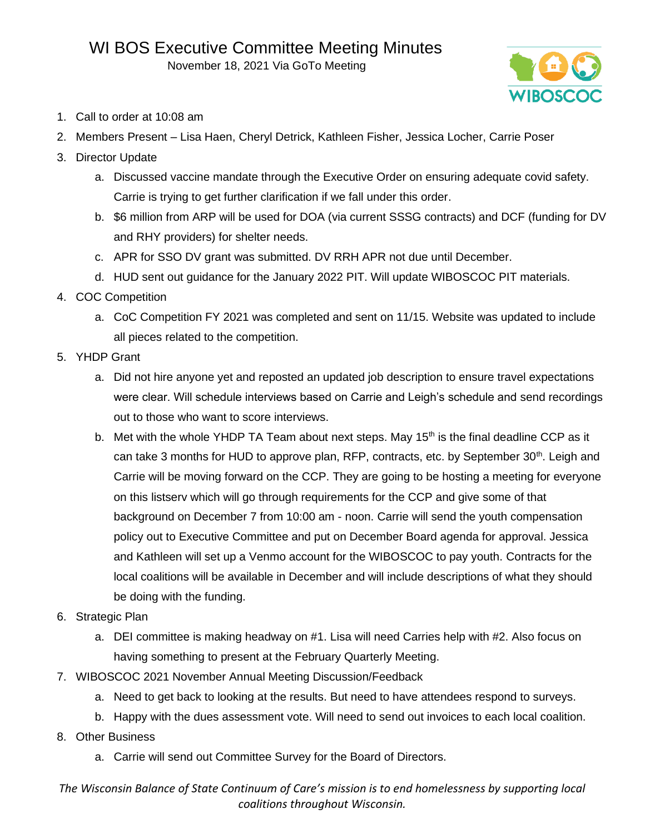November 18, 2021 Via GoTo Meeting



- 1. Call to order at 10:08 am
- 2. Members Present Lisa Haen, Cheryl Detrick, Kathleen Fisher, Jessica Locher, Carrie Poser
- 3. Director Update
	- a. Discussed vaccine mandate through the Executive Order on ensuring adequate covid safety. Carrie is trying to get further clarification if we fall under this order.
	- b. \$6 million from ARP will be used for DOA (via current SSSG contracts) and DCF (funding for DV and RHY providers) for shelter needs.
	- c. APR for SSO DV grant was submitted. DV RRH APR not due until December.
	- d. HUD sent out guidance for the January 2022 PIT. Will update WIBOSCOC PIT materials.
- 4. COC Competition
	- a. CoC Competition FY 2021 was completed and sent on 11/15. Website was updated to include all pieces related to the competition.
- 5. YHDP Grant
	- a. Did not hire anyone yet and reposted an updated job description to ensure travel expectations were clear. Will schedule interviews based on Carrie and Leigh's schedule and send recordings out to those who want to score interviews.
	- b. Met with the whole YHDP TA Team about next steps. May 15<sup>th</sup> is the final deadline CCP as it can take 3 months for HUD to approve plan, RFP, contracts, etc. by September 30<sup>th</sup>. Leigh and Carrie will be moving forward on the CCP. They are going to be hosting a meeting for everyone on this listserv which will go through requirements for the CCP and give some of that background on December 7 from 10:00 am - noon. Carrie will send the youth compensation policy out to Executive Committee and put on December Board agenda for approval. Jessica and Kathleen will set up a Venmo account for the WIBOSCOC to pay youth. Contracts for the local coalitions will be available in December and will include descriptions of what they should be doing with the funding.
- 6. Strategic Plan
	- a. DEI committee is making headway on #1. Lisa will need Carries help with #2. Also focus on having something to present at the February Quarterly Meeting.
- 7. WIBOSCOC 2021 November Annual Meeting Discussion/Feedback
	- a. Need to get back to looking at the results. But need to have attendees respond to surveys.
	- b. Happy with the dues assessment vote. Will need to send out invoices to each local coalition.
- 8. Other Business
	- a. Carrie will send out Committee Survey for the Board of Directors.

*The Wisconsin Balance of State Continuum of Care's mission is to end homelessness by supporting local coalitions throughout Wisconsin.*